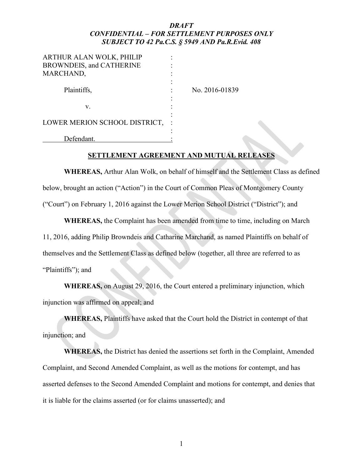| ARTHUR ALAN WOLK, PHILIP      |                |
|-------------------------------|----------------|
| BROWNDEIS, and CATHERINE      |                |
| MARCHAND,                     |                |
|                               |                |
| Plaintiffs,                   | No. 2016-01839 |
|                               |                |
| v.                            |                |
|                               |                |
| LOWER MERION SCHOOL DISTRICT, |                |
|                               |                |
| Defendant.                    |                |

#### **SETTLEMENT AGREEMENT AND MUTUAL RELEASES**

**WHEREAS,** Arthur Alan Wolk, on behalf of himself and the Settlement Class as defined below, brought an action ("Action") in the Court of Common Pleas of Montgomery County ("Court") on February 1, 2016 against the Lower Merion School District ("District"); and

**WHEREAS,** the Complaint has been amended from time to time, including on March 11, 2016, adding Philip Browndeis and Catharine Marchand, as named Plaintiffs on behalf of themselves and the Settlement Class as defined below (together, all three are referred to as "Plaintiffs"); and

**WHEREAS,** on August 29, 2016, the Court entered a preliminary injunction, which injunction was affirmed on appeal; and

**WHEREAS,** Plaintiffs have asked that the Court hold the District in contempt of that injunction; and

**WHEREAS,** the District has denied the assertions set forth in the Complaint, Amended Complaint, and Second Amended Complaint, as well as the motions for contempt, and has asserted defenses to the Second Amended Complaint and motions for contempt, and denies that it is liable for the claims asserted (or for claims unasserted); and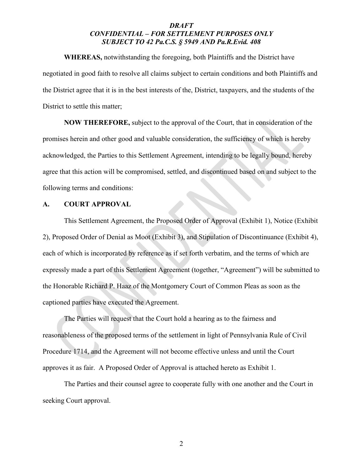**WHEREAS,** notwithstanding the foregoing, both Plaintiffs and the District have negotiated in good faith to resolve all claims subject to certain conditions and both Plaintiffs and the District agree that it is in the best interests of the, District, taxpayers, and the students of the District to settle this matter;

**NOW THEREFORE,** subject to the approval of the Court, that in consideration of the promises herein and other good and valuable consideration, the sufficiency of which is hereby acknowledged, the Parties to this Settlement Agreement, intending to be legally bound, hereby agree that this action will be compromised, settled, and discontinued based on and subject to the following terms and conditions:

#### **A. COURT APPROVAL**

This Settlement Agreement, the Proposed Order of Approval (Exhibit 1), Notice (Exhibit 2), Proposed Order of Denial as Moot (Exhibit 3), and Stipulation of Discontinuance (Exhibit 4), each of which is incorporated by reference as if set forth verbatim, and the terms of which are expressly made a part of this Settlement Agreement (together, "Agreement") will be submitted to the Honorable Richard P. Haaz of the Montgomery Court of Common Pleas as soon as the captioned parties have executed the Agreement.

The Parties will request that the Court hold a hearing as to the fairness and reasonableness of the proposed terms of the settlement in light of Pennsylvania Rule of Civil Procedure 1714, and the Agreement will not become effective unless and until the Court approves it as fair. A Proposed Order of Approval is attached hereto as Exhibit 1.

The Parties and their counsel agree to cooperate fully with one another and the Court in seeking Court approval.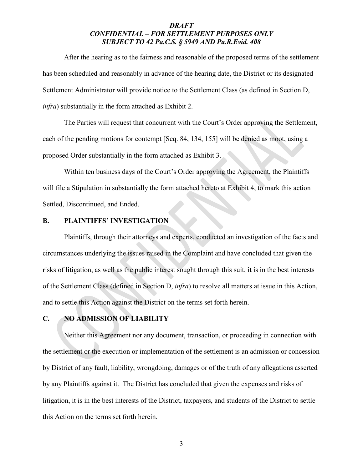After the hearing as to the fairness and reasonable of the proposed terms of the settlement has been scheduled and reasonably in advance of the hearing date, the District or its designated Settlement Administrator will provide notice to the Settlement Class (as defined in Section D, *infra*) substantially in the form attached as Exhibit 2.

The Parties will request that concurrent with the Court's Order approving the Settlement, each of the pending motions for contempt [Seq. 84, 134, 155] will be denied as moot, using a proposed Order substantially in the form attached as Exhibit 3.

Within ten business days of the Court's Order approving the Agreement, the Plaintiffs will file a Stipulation in substantially the form attached hereto at Exhibit 4, to mark this action Settled, Discontinued, and Ended.

#### **B. PLAINTIFFS' INVESTIGATION**

Plaintiffs, through their attorneys and experts, conducted an investigation of the facts and circumstances underlying the issues raised in the Complaint and have concluded that given the risks of litigation, as well as the public interest sought through this suit, it is in the best interests of the Settlement Class (defined in Section D, *infra*) to resolve all matters at issue in this Action, and to settle this Action against the District on the terms set forth herein.

#### **C. NO ADMISSION OF LIABILITY**

Neither this Agreement nor any document, transaction, or proceeding in connection with the settlement or the execution or implementation of the settlement is an admission or concession by District of any fault, liability, wrongdoing, damages or of the truth of any allegations asserted by any Plaintiffs against it. The District has concluded that given the expenses and risks of litigation, it is in the best interests of the District, taxpayers, and students of the District to settle this Action on the terms set forth herein.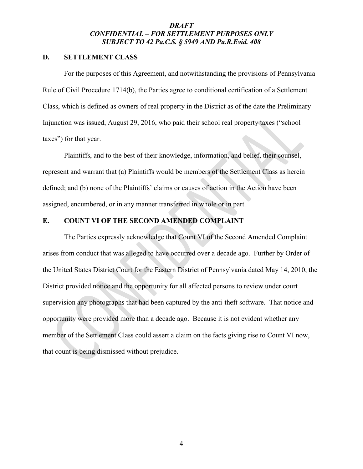#### **D. SETTLEMENT CLASS**

For the purposes of this Agreement, and notwithstanding the provisions of Pennsylvania Rule of Civil Procedure 1714(b), the Parties agree to conditional certification of a Settlement Class, which is defined as owners of real property in the District as of the date the Preliminary Injunction was issued, August 29, 2016, who paid their school real property taxes ("school taxes") for that year.

Plaintiffs, and to the best of their knowledge, information, and belief, their counsel, represent and warrant that (a) Plaintiffs would be members of the Settlement Class as herein defined; and (b) none of the Plaintiffs' claims or causes of action in the Action have been assigned, encumbered, or in any manner transferred in whole or in part.

#### **E. COUNT VI OF THE SECOND AMENDED COMPLAINT**

The Parties expressly acknowledge that Count VI of the Second Amended Complaint arises from conduct that was alleged to have occurred over a decade ago. Further by Order of the United States District Court for the Eastern District of Pennsylvania dated May 14, 2010, the District provided notice and the opportunity for all affected persons to review under court supervision any photographs that had been captured by the anti-theft software. That notice and opportunity were provided more than a decade ago. Because it is not evident whether any member of the Settlement Class could assert a claim on the facts giving rise to Count VI now, that count is being dismissed without prejudice.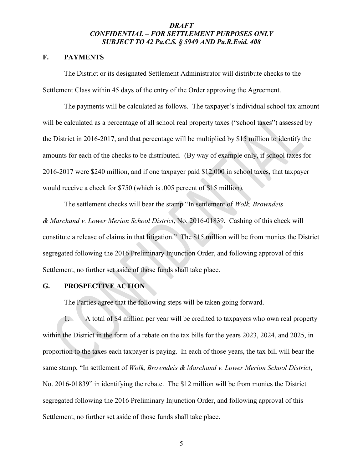#### **F. PAYMENTS**

The District or its designated Settlement Administrator will distribute checks to the Settlement Class within 45 days of the entry of the Order approving the Agreement.

The payments will be calculated as follows. The taxpayer's individual school tax amount will be calculated as a percentage of all school real property taxes ("school taxes") assessed by the District in 2016-2017, and that percentage will be multiplied by \$15 million to identify the amounts for each of the checks to be distributed. (By way of example only, if school taxes for 2016-2017 were \$240 million, and if one taxpayer paid \$12,000 in school taxes, that taxpayer would receive a check for \$750 (which is .005 percent of \$15 million).

The settlement checks will bear the stamp "In settlement of *Wolk, Browndeis & Marchand v. Lower Merion School District*, No. 2016-01839. Cashing of this check will constitute a release of claims in that litigation." The \$15 million will be from monies the District segregated following the 2016 Preliminary Injunction Order, and following approval of this Settlement, no further set aside of those funds shall take place.

# **G. PROSPECTIVE ACTION**

The Parties agree that the following steps will be taken going forward.

1. A total of \$4 million per year will be credited to taxpayers who own real property within the District in the form of a rebate on the tax bills for the years 2023, 2024, and 2025, in proportion to the taxes each taxpayer is paying. In each of those years, the tax bill will bear the same stamp, "In settlement of *Wolk, Browndeis & Marchand v. Lower Merion School District*, No. 2016-01839" in identifying the rebate. The \$12 million will be from monies the District segregated following the 2016 Preliminary Injunction Order, and following approval of this Settlement, no further set aside of those funds shall take place.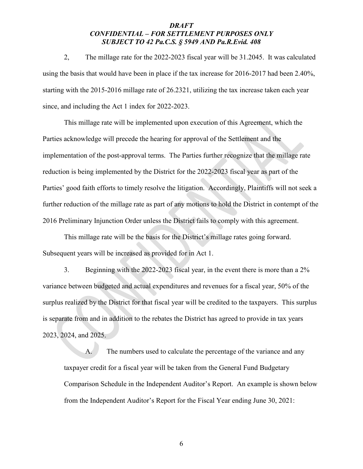2, The millage rate for the 2022-2023 fiscal year will be 31.2045. It was calculated using the basis that would have been in place if the tax increase for 2016-2017 had been 2.40%, starting with the 2015-2016 millage rate of 26.2321, utilizing the tax increase taken each year since, and including the Act 1 index for 2022-2023.

This millage rate will be implemented upon execution of this Agreement, which the Parties acknowledge will precede the hearing for approval of the Settlement and the implementation of the post-approval terms. The Parties further recognize that the millage rate reduction is being implemented by the District for the 2022-2023 fiscal year as part of the Parties' good faith efforts to timely resolve the litigation. Accordingly, Plaintiffs will not seek a further reduction of the millage rate as part of any motions to hold the District in contempt of the 2016 Preliminary Injunction Order unless the District fails to comply with this agreement.

This millage rate will be the basis for the District's millage rates going forward. Subsequent years will be increased as provided for in Act 1.

3. Beginning with the 2022-2023 fiscal year, in the event there is more than a 2% variance between budgeted and actual expenditures and revenues for a fiscal year, 50% of the surplus realized by the District for that fiscal year will be credited to the taxpayers. This surplus is separate from and in addition to the rebates the District has agreed to provide in tax years 2023, 2024, and 2025.

A. The numbers used to calculate the percentage of the variance and any taxpayer credit for a fiscal year will be taken from the General Fund Budgetary Comparison Schedule in the Independent Auditor's Report. An example is shown below from the Independent Auditor's Report for the Fiscal Year ending June 30, 2021: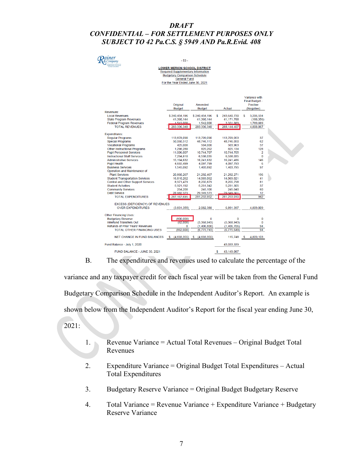# $R_{\tiny\&\scriptstyle\,company}^{ainer}$

 $-53-$ 

# LOWER MERION SCHOOL DISTRICT<br>Required Supplementary Information<br>Budgetary Comparison Schedule **General Fund**

For the Year Ended June 30, 2021

Variance with

|                                         |                  |                  |                  | Final Budget -    |  |
|-----------------------------------------|------------------|------------------|------------------|-------------------|--|
|                                         | Original         | Amended          |                  | Positive          |  |
|                                         | <b>Budget</b>    | <b>Budget</b>    | Actual           | (Negative)        |  |
| Revenues:                               |                  |                  |                  |                   |  |
| <b>Local Revenues</b>                   | \$240.434.196    | \$240.434.196    | 243.640.730<br>s | \$<br>3.206.534   |  |
| <b>State Program Revenues</b>           | 41.360.144       | 41,360,144       | 41,171,788       | (188, 356)        |  |
| <b>Federal Program Revenues</b>         | 1.542.000        | 1.542.000        | 3 3 3 1 8 8 9    | 1.789.889         |  |
| <b>TOTAL REVENUES</b>                   | 283,336,340      | 283,336,340      | 288.144.407      | 4.808.067         |  |
| <b>Expenditures:</b>                    |                  |                  |                  |                   |  |
| <b>Regular Programs</b>                 | 113,878,090      | 113,709,090      | 113,709,053      | 37                |  |
| <b>Special Programs</b>                 | 50,060,512       | 48,746,112       | 48,746,050       | 62                |  |
| <b>Vocational Programs</b>              | 425,000          | 504,000          | 503,963          | 37                |  |
| <b>Other Instructional Programs</b>     | 1,298,280        | 825,262          | 825,134          | 128               |  |
| <b>Pupil Personnel Services</b>         | 11,006,007       | 10,744,707       | 10,744,705       | 2                 |  |
| <b>Instructional Staff Services</b>     | 7,294,810        | 6,538,035        | 6,538,035        | o                 |  |
| <b>Administrative Services</b>          | 15,194,632       | 16,241,632       | 16,241,486       | 146               |  |
| <b>Pupil Health</b>                     | 4.665.499        | 4.097.799        | 4.097.793        | 6                 |  |
| <b>Business Services</b>                | 1,545,092        | 1,403,892        | 1,403,795        | 97                |  |
| Operation and Maintenance of            |                  |                  |                  |                   |  |
| <b>Plant Services</b>                   | 20,860,267       | 21,292,467       | 21,292,271       | 196               |  |
| <b>Student Transportation Services</b>  | 16.810.262       | 14.069.062       | 14.069.021       | 41                |  |
| Central and Other Support Services      | 8,971,479        | 8,255,879        | 8,255,798        | 81                |  |
| <b>Student Activities</b>               | 5.921.192        | 5.231.342        | 5.231.305        | 37                |  |
| <b>Community Services</b>               | 254,200          | 245.100          | 245.040          | 60                |  |
| <b>Debt Service</b>                     | 28.982.373       | 29,349,573       | 29.349.561       | 12                |  |
| <b>TOTAL EXPENDITURES</b>               | 287, 167, 695    | 281,253,952      | 281,253,010      | 942               |  |
|                                         |                  |                  |                  |                   |  |
| <b>EXCESS (DEFICIENCY) OF REVENUES</b>  |                  |                  |                  |                   |  |
| <b>OVER EXPENDITURES</b>                | (3,831,355)      | 2.082.388        | 6,891,397        | 4,809,009         |  |
| <b>Other Financing Uses:</b>            |                  |                  |                  |                   |  |
| <b>Budgetary Reserve</b>                | (800,000)        | o                | o                | 0                 |  |
| <b>Interfund Transfers Out</b>          | (62,000)         | (5,368,943)      | (5,368,943)      | 0                 |  |
| <b>Refunds of Prior Years' Revenues</b> | O                | (1,406,800)      | (1,406,706)      | 94                |  |
| <b>TOTAL OTHER FINANCING USES</b>       | (862.000)        | (6, 775, 743)    | (6, 775, 649)    | 94                |  |
|                                         |                  |                  |                  |                   |  |
| <b>NET CHANGE IN FUND BALANCES</b>      | (4,693,355)<br>s | (4,693,355)<br>s | 115,748          | 4,809,103<br>- \$ |  |
| Fund Balance - July 1, 2020             |                  |                  | 43,033,339       |                   |  |
| FUND BALANCE - JUNE 30, 2021            |                  |                  | \$<br>43.149.087 |                   |  |

B. The expenditures and revenues used to calculate the percentage of the

variance and any taxpayer credit for each fiscal year will be taken from the General Fund Budgetary Comparison Schedule in the Independent Auditor's Report. An example is shown below from the Independent Auditor's Report for the fiscal year ending June 30, 2021:

- 1. Revenue Variance = Actual Total Revenues Original Budget Total Revenues
- 2. Expenditure Variance = Original Budget Total Expenditures Actual Total Expenditures
- 3. Budgetary Reserve Variance = Original Budget Budgetary Reserve
- 4. Total Variance = Revenue Variance + Expenditure Variance + Budgetary Reserve Variance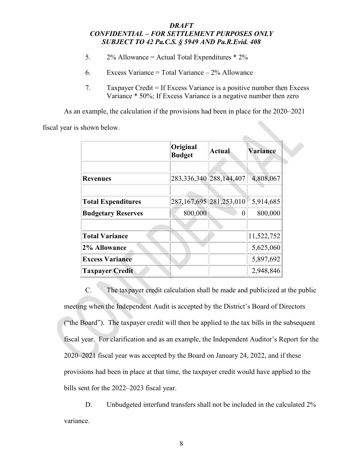- 5.  $2\%$  Allowance = Actual Total Expenditures  $*$  2%
- 6. Excess Variance = Total Variance  $-2\%$  Allowance
- 7. Taxpayer Credit = If Excess Variance is a positive number then Excess Variance \* 50%; If Excess Variance is a negative number then zero

 $\sim$ 

As an example, the calculation if the provisions had been in place for the 2020–2021

fiscal year is shown below.

|                           | Original<br><b>Budget</b> | <b>Actual</b>               | Variance   |  |
|---------------------------|---------------------------|-----------------------------|------------|--|
|                           |                           |                             |            |  |
| <b>Revenues</b>           |                           | 283, 336, 340 288, 144, 407 | 4,808,067  |  |
|                           |                           |                             |            |  |
| <b>Total Expenditures</b> |                           | 287,167,695 281,253,010     | 5,914,685  |  |
| <b>Budgetary Reserves</b> | 800,000                   |                             | 800,000    |  |
|                           |                           |                             |            |  |
| <b>Total Variance</b>     |                           |                             | 11,522,752 |  |
| 2% Allowance              |                           |                             | 5,625,060  |  |
| <b>Excess Variance</b>    |                           |                             | 5,897,692  |  |
| <b>Taxpayer Credit</b>    |                           |                             | 2,948,846  |  |

C. The taxpayer credit calculation shall be made and publicized at the public meeting when the Independent Audit is accepted by the District's Board of Directors ("the Board"). The taxpayer credit will then be applied to the tax bills in the subsequent fiscal year. For clarification and as an example, the Independent Auditor's Report for the 2020–2021 fiscal year was accepted by the Board on January 24, 2022, and if these provisions had been in place at that time, the taxpayer credit would have applied to the bills sent for the 2022–2023 fiscal year.

D. Unbudgeted interfund transfers shall not be included in the calculated 2% variance.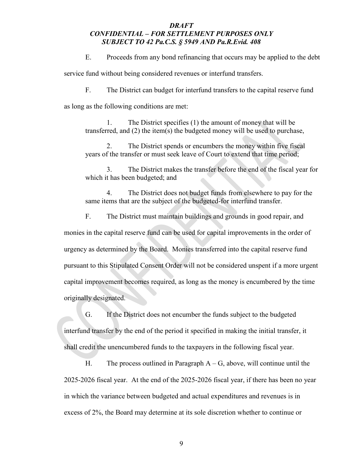E. Proceeds from any bond refinancing that occurs may be applied to the debt

service fund without being considered revenues or interfund transfers.

F. The District can budget for interfund transfers to the capital reserve fund

as long as the following conditions are met:

1. The District specifies (1) the amount of money that will be transferred, and (2) the item(s) the budgeted money will be used to purchase,

2. The District spends or encumbers the money within five fiscal years of the transfer or must seek leave of Court to extend that time period;

3. The District makes the transfer before the end of the fiscal year for which it has been budgeted; and

4. The District does not budget funds from elsewhere to pay for the same items that are the subject of the budgeted-for interfund transfer.

F. The District must maintain buildings and grounds in good repair, and

monies in the capital reserve fund can be used for capital improvements in the order of urgency as determined by the Board. Monies transferred into the capital reserve fund pursuant to this Stipulated Consent Order will not be considered unspent if a more urgent capital improvement becomes required, as long as the money is encumbered by the time originally designated.

G. If the District does not encumber the funds subject to the budgeted interfund transfer by the end of the period it specified in making the initial transfer, it shall credit the unencumbered funds to the taxpayers in the following fiscal year.

H. The process outlined in Paragraph  $A - G$ , above, will continue until the 2025-2026 fiscal year. At the end of the 2025-2026 fiscal year, if there has been no year in which the variance between budgeted and actual expenditures and revenues is in excess of 2%, the Board may determine at its sole discretion whether to continue or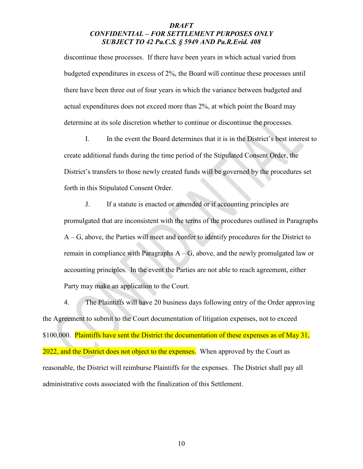discontinue these processes. If there have been years in which actual varied from budgeted expenditures in excess of 2%, the Board will continue these processes until there have been three out of four years in which the variance between budgeted and actual expenditures does not exceed more than 2%, at which point the Board may determine at its sole discretion whether to continue or discontinue the processes.

I. In the event the Board determines that it is in the District's best interest to create additional funds during the time period of the Stipulated Consent Order, the District's transfers to those newly created funds will be governed by the procedures set forth in this Stipulated Consent Order.

J. If a statute is enacted or amended or if accounting principles are promulgated that are inconsistent with the terms of the procedures outlined in Paragraphs A – G, above, the Parties will meet and confer to identify procedures for the District to remain in compliance with Paragraphs  $A - G$ , above, and the newly promulgated law or accounting principles. In the event the Parties are not able to reach agreement, either Party may make an application to the Court.

4. The Plaintiffs will have 20 business days following entry of the Order approving the Agreement to submit to the Court documentation of litigation expenses, not to exceed \$100,000. Plaintiffs have sent the District the documentation of these expenses as of May 31, 2022, and the District does not object to the expenses. When approved by the Court as reasonable, the District will reimburse Plaintiffs for the expenses. The District shall pay all administrative costs associated with the finalization of this Settlement.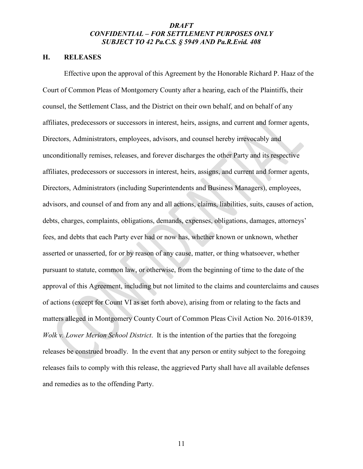#### **H. RELEASES**

Effective upon the approval of this Agreement by the Honorable Richard P. Haaz of the Court of Common Pleas of Montgomery County after a hearing, each of the Plaintiffs, their counsel, the Settlement Class, and the District on their own behalf, and on behalf of any affiliates, predecessors or successors in interest, heirs, assigns, and current and former agents, Directors, Administrators, employees, advisors, and counsel hereby irrevocably and unconditionally remises, releases, and forever discharges the other Party and its respective affiliates, predecessors or successors in interest, heirs, assigns, and current and former agents, Directors, Administrators (including Superintendents and Business Managers), employees, advisors, and counsel of and from any and all actions, claims, liabilities, suits, causes of action, debts, charges, complaints, obligations, demands, expenses, obligations, damages, attorneys' fees, and debts that each Party ever had or now has, whether known or unknown, whether asserted or unasserted, for or by reason of any cause, matter, or thing whatsoever, whether pursuant to statute, common law, or otherwise, from the beginning of time to the date of the approval of this Agreement, including but not limited to the claims and counterclaims and causes of actions (except for Count VI as set forth above), arising from or relating to the facts and matters alleged in Montgomery County Court of Common Pleas Civil Action No. 2016-01839, *Wolk v. Lower Merion School District*. It is the intention of the parties that the foregoing releases be construed broadly. In the event that any person or entity subject to the foregoing releases fails to comply with this release, the aggrieved Party shall have all available defenses and remedies as to the offending Party.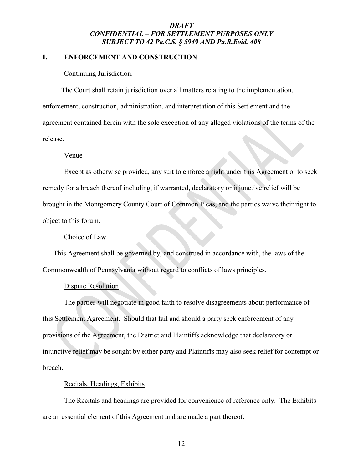#### **I. ENFORCEMENT AND CONSTRUCTION**

#### Continuing Jurisdiction.

The Court shall retain jurisdiction over all matters relating to the implementation, enforcement, construction, administration, and interpretation of this Settlement and the agreement contained herein with the sole exception of any alleged violations of the terms of the release.

#### Venue

Except as otherwise provided, any suit to enforce a right under this Agreement or to seek remedy for a breach thereof including, if warranted, declaratory or injunctive relief will be brought in the Montgomery County Court of Common Pleas, and the parties waive their right to object to this forum.

#### Choice of Law

This Agreement shall be governed by, and construed in accordance with, the laws of the Commonwealth of Pennsylvania without regard to conflicts of laws principles.

#### Dispute Resolution

The parties will negotiate in good faith to resolve disagreements about performance of this Settlement Agreement. Should that fail and should a party seek enforcement of any provisions of the Agreement, the District and Plaintiffs acknowledge that declaratory or injunctive relief may be sought by either party and Plaintiffs may also seek relief for contempt or breach.

#### Recitals, Headings, Exhibits

The Recitals and headings are provided for convenience of reference only. The Exhibits are an essential element of this Agreement and are made a part thereof.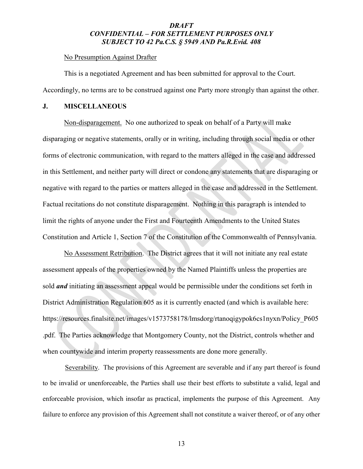#### No Presumption Against Drafter

This is a negotiated Agreement and has been submitted for approval to the Court. Accordingly, no terms are to be construed against one Party more strongly than against the other.

#### **J. MISCELLANEOUS**

Non-disparagement. No one authorized to speak on behalf of a Party will make disparaging or negative statements, orally or in writing, including through social media or other forms of electronic communication, with regard to the matters alleged in the case and addressed in this Settlement, and neither party will direct or condone any statements that are disparaging or negative with regard to the parties or matters alleged in the case and addressed in the Settlement. Factual recitations do not constitute disparagement. Nothing in this paragraph is intended to limit the rights of anyone under the First and Fourteenth Amendments to the United States Constitution and Article 1, Section 7 of the Constitution of the Commonwealth of Pennsylvania.

No Assessment Retribution. The District agrees that it will not initiate any real estate assessment appeals of the properties owned by the Named Plaintiffs unless the properties are sold *and* initiating an assessment appeal would be permissible under the conditions set forth in District Administration Regulation 605 as it is currently enacted (and which is available here: https://resources.finalsite.net/images/v1573758178/lmsdorg/rtanoqigypok6cs1nyxn/Policy\_P605 .pdf. The Parties acknowledge that Montgomery County, not the District, controls whether and when countywide and interim property reassessments are done more generally.

Severability. The provisions of this Agreement are severable and if any part thereof is found to be invalid or unenforceable, the Parties shall use their best efforts to substitute a valid, legal and enforceable provision, which insofar as practical, implements the purpose of this Agreement. Any failure to enforce any provision of this Agreement shall not constitute a waiver thereof, or of any other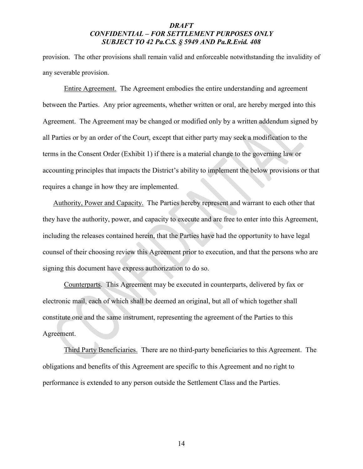provision. The other provisions shall remain valid and enforceable notwithstanding the invalidity of any severable provision.

Entire Agreement. The Agreement embodies the entire understanding and agreement between the Parties. Any prior agreements, whether written or oral, are hereby merged into this Agreement. The Agreement may be changed or modified only by a written addendum signed by all Parties or by an order of the Court, except that either party may seek a modification to the terms in the Consent Order (Exhibit 1) if there is a material change to the governing law or accounting principles that impacts the District's ability to implement the below provisions or that requires a change in how they are implemented.

Authority, Power and Capacity. The Parties hereby represent and warrant to each other that they have the authority, power, and capacity to execute and are free to enter into this Agreement, including the releases contained herein, that the Parties have had the opportunity to have legal counsel of their choosing review this Agreement prior to execution, and that the persons who are signing this document have express authorization to do so.

Counterparts. This Agreement may be executed in counterparts, delivered by fax or electronic mail, each of which shall be deemed an original, but all of which together shall constitute one and the same instrument, representing the agreement of the Parties to this Agreement.

Third Party Beneficiaries. There are no third-party beneficiaries to this Agreement. The obligations and benefits of this Agreement are specific to this Agreement and no right to performance is extended to any person outside the Settlement Class and the Parties.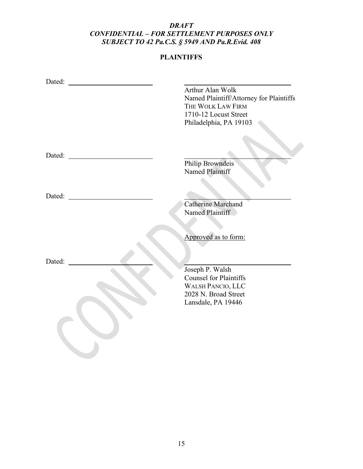# **PLAINTIFFS**

|                                                             | Arthur Alan Wolk                        |
|-------------------------------------------------------------|-----------------------------------------|
|                                                             | Named Plaintiff/Attorney for Plaintiffs |
|                                                             | THE WOLK LAW FIRM                       |
|                                                             | 1710-12 Locust Street                   |
|                                                             | Philadelphia, PA 19103                  |
|                                                             |                                         |
|                                                             |                                         |
| Dated:<br><u> 1980 - Jan Samuel Barbara, politik e</u> ta p |                                         |
|                                                             | Philip Browndeis<br>Named Plaintiff     |
| Dated:                                                      |                                         |
|                                                             | <b>Catherine Marchand</b>               |
|                                                             | Named Plaintiff                         |
|                                                             |                                         |
|                                                             | Approved as to form:                    |
| Dated:                                                      |                                         |
|                                                             | Joseph P. Walsh                         |
|                                                             | <b>Counsel for Plaintiffs</b>           |
|                                                             | <b>WALSH PANCIO, LLC</b>                |
|                                                             | 2028 N. Broad Street                    |
|                                                             | Lansdale, PA 19446                      |
|                                                             |                                         |
|                                                             |                                         |
|                                                             |                                         |
|                                                             |                                         |
|                                                             |                                         |
|                                                             |                                         |